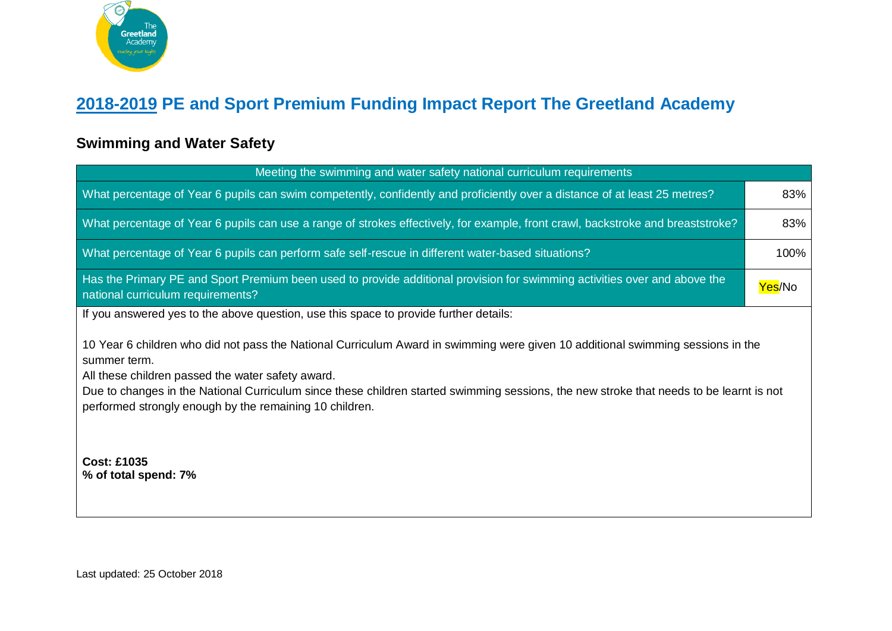

## **2018-2019 PE and Sport Premium Funding Impact Report The Greetland Academy**

## **Swimming and Water Safety**

| Meeting the swimming and water safety national curriculum requirements                                                                                                                                                                                                                                                                                                                                     |        |  |
|------------------------------------------------------------------------------------------------------------------------------------------------------------------------------------------------------------------------------------------------------------------------------------------------------------------------------------------------------------------------------------------------------------|--------|--|
| What percentage of Year 6 pupils can swim competently, confidently and proficiently over a distance of at least 25 metres?                                                                                                                                                                                                                                                                                 | 83%    |  |
| What percentage of Year 6 pupils can use a range of strokes effectively, for example, front crawl, backstroke and breaststroke?                                                                                                                                                                                                                                                                            | 83%    |  |
| What percentage of Year 6 pupils can perform safe self-rescue in different water-based situations?                                                                                                                                                                                                                                                                                                         | 100%   |  |
| Has the Primary PE and Sport Premium been used to provide additional provision for swimming activities over and above the<br>national curriculum requirements?                                                                                                                                                                                                                                             | Yes/No |  |
| If you answered yes to the above question, use this space to provide further details:                                                                                                                                                                                                                                                                                                                      |        |  |
| 10 Year 6 children who did not pass the National Curriculum Award in swimming were given 10 additional swimming sessions in the<br>summer term.<br>All these children passed the water safety award.<br>Due to changes in the National Curriculum since these children started swimming sessions, the new stroke that needs to be learnt is not<br>performed strongly enough by the remaining 10 children. |        |  |
| <b>Cost: £1035</b><br>% of total spend: 7%                                                                                                                                                                                                                                                                                                                                                                 |        |  |

Last updated: 25 October 2018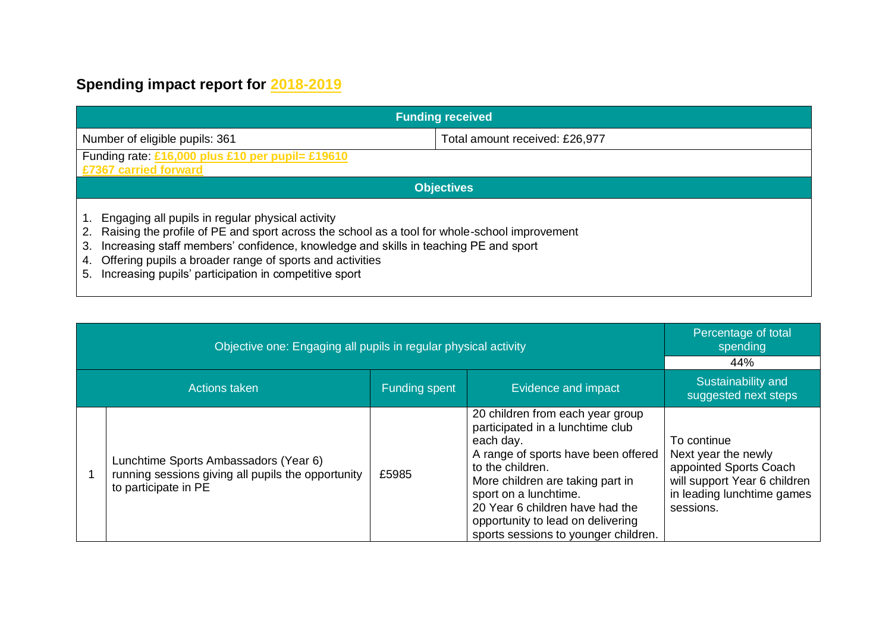## **Spending impact report for 2018-2019**

| <b>Funding received</b>                                                                                                                                                                                                                                                                                                                                                              |                                |  |
|--------------------------------------------------------------------------------------------------------------------------------------------------------------------------------------------------------------------------------------------------------------------------------------------------------------------------------------------------------------------------------------|--------------------------------|--|
| Number of eligible pupils: 361                                                                                                                                                                                                                                                                                                                                                       | Total amount received: £26,977 |  |
| Funding rate: £16,000 plus £10 per pupil= £19610<br>£7367 carried forward                                                                                                                                                                                                                                                                                                            |                                |  |
| <b>Objectives</b>                                                                                                                                                                                                                                                                                                                                                                    |                                |  |
| Engaging all pupils in regular physical activity<br>Raising the profile of PE and sport across the school as a tool for whole-school improvement<br>2.<br>Increasing staff members' confidence, knowledge and skills in teaching PE and sport<br>3.<br>Offering pupils a broader range of sports and activities<br>4.<br>Increasing pupils' participation in competitive sport<br>5. |                                |  |

| Objective one: Engaging all pupils in regular physical activity                                                     |               |                                                                                                                                                                                                                                                                                                                           | Percentage of total<br>spending<br>44%                                                                                                  |
|---------------------------------------------------------------------------------------------------------------------|---------------|---------------------------------------------------------------------------------------------------------------------------------------------------------------------------------------------------------------------------------------------------------------------------------------------------------------------------|-----------------------------------------------------------------------------------------------------------------------------------------|
| <b>Actions taken</b>                                                                                                | Funding spent | Evidence and impact                                                                                                                                                                                                                                                                                                       | Sustainability and<br>suggested next steps                                                                                              |
| Lunchtime Sports Ambassadors (Year 6)<br>running sessions giving all pupils the opportunity<br>to participate in PE | £5985         | 20 children from each year group<br>participated in a lunchtime club<br>each day.<br>A range of sports have been offered<br>to the children.<br>More children are taking part in<br>sport on a lunchtime.<br>20 Year 6 children have had the<br>opportunity to lead on delivering<br>sports sessions to younger children. | To continue<br>Next year the newly<br>appointed Sports Coach<br>will support Year 6 children<br>in leading lunchtime games<br>sessions. |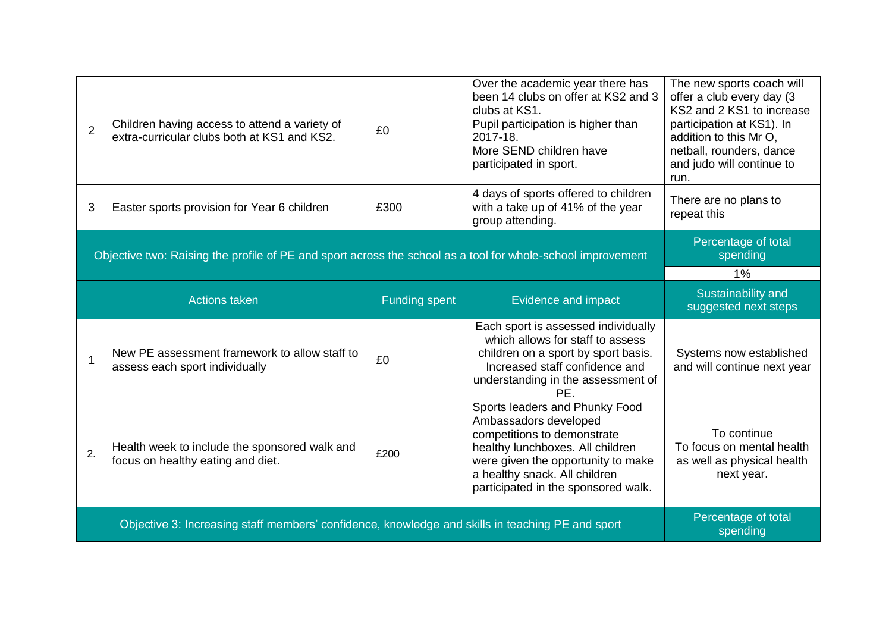| $\overline{2}$                                                                                              | Children having access to attend a variety of<br>extra-curricular clubs both at KS1 and KS2. | £0                   | Over the academic year there has<br>been 14 clubs on offer at KS2 and 3<br>clubs at KS1.<br>Pupil participation is higher than<br>2017-18.<br>More SEND children have<br>participated in sport.                                          | The new sports coach will<br>offer a club every day (3)<br>KS2 and 2 KS1 to increase<br>participation at KS1). In<br>addition to this Mr O,<br>netball, rounders, dance<br>and judo will continue to<br>run. |
|-------------------------------------------------------------------------------------------------------------|----------------------------------------------------------------------------------------------|----------------------|------------------------------------------------------------------------------------------------------------------------------------------------------------------------------------------------------------------------------------------|--------------------------------------------------------------------------------------------------------------------------------------------------------------------------------------------------------------|
| 3                                                                                                           | Easter sports provision for Year 6 children                                                  | £300                 | 4 days of sports offered to children<br>with a take up of 41% of the year<br>group attending.                                                                                                                                            | There are no plans to<br>repeat this                                                                                                                                                                         |
| Objective two: Raising the profile of PE and sport across the school as a tool for whole-school improvement |                                                                                              |                      |                                                                                                                                                                                                                                          | Percentage of total<br>spending                                                                                                                                                                              |
|                                                                                                             |                                                                                              |                      |                                                                                                                                                                                                                                          | 1%                                                                                                                                                                                                           |
|                                                                                                             | <b>Actions taken</b>                                                                         | <b>Funding spent</b> | Evidence and impact                                                                                                                                                                                                                      | Sustainability and<br>suggested next steps                                                                                                                                                                   |
| $\mathbf 1$                                                                                                 | New PE assessment framework to allow staff to<br>assess each sport individually              | £0                   | Each sport is assessed individually<br>which allows for staff to assess<br>children on a sport by sport basis.<br>Increased staff confidence and<br>understanding in the assessment of<br>PE.                                            | Systems now established<br>and will continue next year                                                                                                                                                       |
| 2.                                                                                                          | Health week to include the sponsored walk and<br>focus on healthy eating and diet.           | £200                 | Sports leaders and Phunky Food<br>Ambassadors developed<br>competitions to demonstrate<br>healthy lunchboxes. All children<br>were given the opportunity to make<br>a healthy snack. All children<br>participated in the sponsored walk. | To continue<br>To focus on mental health<br>as well as physical health<br>next year.                                                                                                                         |
| Objective 3: Increasing staff members' confidence, knowledge and skills in teaching PE and sport            |                                                                                              |                      |                                                                                                                                                                                                                                          | Percentage of total<br>spending                                                                                                                                                                              |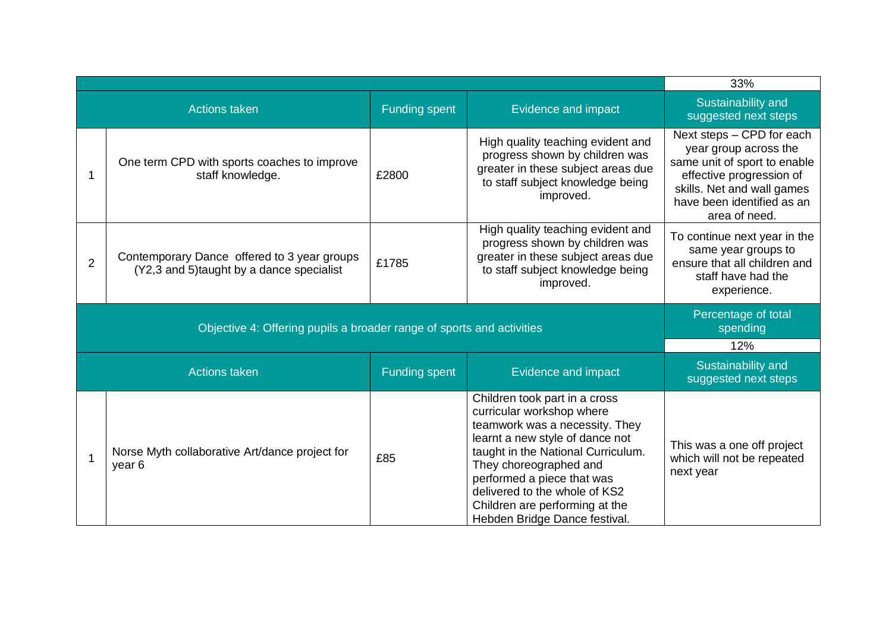|                                                                       |                                                                                         |                      |                                                                                                                                                                                                                                                                                                                                   | 33%                                                                                                                                                                                         |
|-----------------------------------------------------------------------|-----------------------------------------------------------------------------------------|----------------------|-----------------------------------------------------------------------------------------------------------------------------------------------------------------------------------------------------------------------------------------------------------------------------------------------------------------------------------|---------------------------------------------------------------------------------------------------------------------------------------------------------------------------------------------|
|                                                                       | <b>Actions taken</b>                                                                    | <b>Funding spent</b> | Evidence and impact                                                                                                                                                                                                                                                                                                               | Sustainability and<br>suggested next steps                                                                                                                                                  |
| 1                                                                     | One term CPD with sports coaches to improve<br>staff knowledge.                         | £2800                | High quality teaching evident and<br>progress shown by children was<br>greater in these subject areas due<br>to staff subject knowledge being<br>improved.                                                                                                                                                                        | Next steps - CPD for each<br>year group across the<br>same unit of sport to enable<br>effective progression of<br>skills. Net and wall games<br>have been identified as an<br>area of need. |
| $\overline{2}$                                                        | Contemporary Dance offered to 3 year groups<br>(Y2,3 and 5)taught by a dance specialist | £1785                | High quality teaching evident and<br>progress shown by children was<br>greater in these subject areas due<br>to staff subject knowledge being<br>improved.                                                                                                                                                                        | To continue next year in the<br>same year groups to<br>ensure that all children and<br>staff have had the<br>experience.                                                                    |
| Objective 4: Offering pupils a broader range of sports and activities |                                                                                         |                      |                                                                                                                                                                                                                                                                                                                                   | Percentage of total<br>spending                                                                                                                                                             |
|                                                                       |                                                                                         |                      |                                                                                                                                                                                                                                                                                                                                   | 12%                                                                                                                                                                                         |
|                                                                       | <b>Actions taken</b>                                                                    | <b>Funding spent</b> | Evidence and impact                                                                                                                                                                                                                                                                                                               | Sustainability and<br>suggested next steps                                                                                                                                                  |
| 1                                                                     | Norse Myth collaborative Art/dance project for<br>year 6                                | £85                  | Children took part in a cross<br>curricular workshop where<br>teamwork was a necessity. They<br>learnt a new style of dance not<br>taught in the National Curriculum.<br>They choreographed and<br>performed a piece that was<br>delivered to the whole of KS2<br>Children are performing at the<br>Hebden Bridge Dance festival. | This was a one off project<br>which will not be repeated<br>next year                                                                                                                       |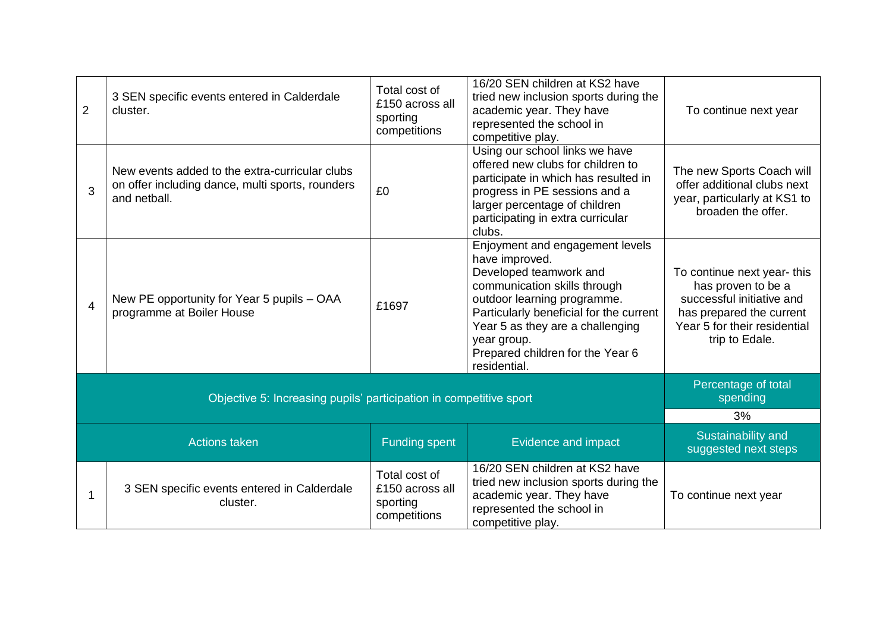| $\overline{2}$ | 3 SEN specific events entered in Calderdale<br>cluster.                                                            | Total cost of<br>£150 across all<br>sporting<br>competitions | 16/20 SEN children at KS2 have<br>tried new inclusion sports during the<br>academic year. They have<br>represented the school in<br>competitive play.                                                                                                                                        | To continue next year                                                                                                                                       |
|----------------|--------------------------------------------------------------------------------------------------------------------|--------------------------------------------------------------|----------------------------------------------------------------------------------------------------------------------------------------------------------------------------------------------------------------------------------------------------------------------------------------------|-------------------------------------------------------------------------------------------------------------------------------------------------------------|
| 3              | New events added to the extra-curricular clubs<br>on offer including dance, multi sports, rounders<br>and netball. | £0                                                           | Using our school links we have<br>offered new clubs for children to<br>participate in which has resulted in<br>progress in PE sessions and a<br>larger percentage of children<br>participating in extra curricular<br>clubs.                                                                 | The new Sports Coach will<br>offer additional clubs next<br>year, particularly at KS1 to<br>broaden the offer.                                              |
| $\overline{4}$ | New PE opportunity for Year 5 pupils - OAA<br>programme at Boiler House                                            | £1697                                                        | Enjoyment and engagement levels<br>have improved.<br>Developed teamwork and<br>communication skills through<br>outdoor learning programme.<br>Particularly beneficial for the current<br>Year 5 as they are a challenging<br>year group.<br>Prepared children for the Year 6<br>residential. | To continue next year-this<br>has proven to be a<br>successful initiative and<br>has prepared the current<br>Year 5 for their residential<br>trip to Edale. |
|                | Objective 5: Increasing pupils' participation in competitive sport                                                 |                                                              |                                                                                                                                                                                                                                                                                              | Percentage of total<br>spending                                                                                                                             |
|                | <b>Actions taken</b>                                                                                               | <b>Funding spent</b>                                         | Evidence and impact                                                                                                                                                                                                                                                                          | 3%<br>Sustainability and<br>suggested next steps                                                                                                            |
| 1              | 3 SEN specific events entered in Calderdale<br>cluster.                                                            | Total cost of<br>£150 across all<br>sporting<br>competitions | 16/20 SEN children at KS2 have<br>tried new inclusion sports during the<br>academic year. They have<br>represented the school in<br>competitive play.                                                                                                                                        | To continue next year                                                                                                                                       |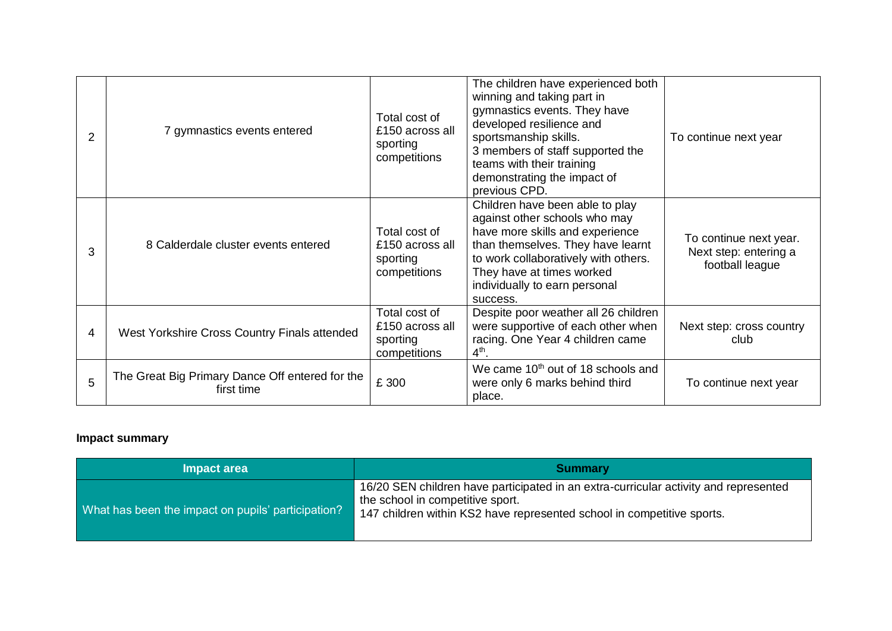| 2 | 7 gymnastics events entered                                   | Total cost of<br>£150 across all<br>sporting<br>competitions | The children have experienced both<br>winning and taking part in<br>gymnastics events. They have<br>developed resilience and<br>sportsmanship skills.<br>3 members of staff supported the<br>teams with their training<br>demonstrating the impact of<br>previous CPD. | To continue next year                                              |
|---|---------------------------------------------------------------|--------------------------------------------------------------|------------------------------------------------------------------------------------------------------------------------------------------------------------------------------------------------------------------------------------------------------------------------|--------------------------------------------------------------------|
| 3 | 8 Calderdale cluster events entered                           | Total cost of<br>£150 across all<br>sporting<br>competitions | Children have been able to play<br>against other schools who may<br>have more skills and experience<br>than themselves. They have learnt<br>to work collaboratively with others.<br>They have at times worked<br>individually to earn personal<br>success.             | To continue next year.<br>Next step: entering a<br>football league |
| 4 | West Yorkshire Cross Country Finals attended                  | Total cost of<br>£150 across all<br>sporting<br>competitions | Despite poor weather all 26 children<br>were supportive of each other when<br>racing. One Year 4 children came<br>$4th$ .                                                                                                                                              | Next step: cross country<br>club                                   |
| 5 | The Great Big Primary Dance Off entered for the<br>first time | £ 300                                                        | We came 10 <sup>th</sup> out of 18 schools and<br>were only 6 marks behind third<br>place.                                                                                                                                                                             | To continue next year                                              |

## **Impact summary**

| Impact area                                        | <b>Summary</b>                                                                                                                                                                                     |
|----------------------------------------------------|----------------------------------------------------------------------------------------------------------------------------------------------------------------------------------------------------|
| What has been the impact on pupils' participation? | 16/20 SEN children have participated in an extra-curricular activity and represented<br>the school in competitive sport.<br>147 children within KS2 have represented school in competitive sports. |